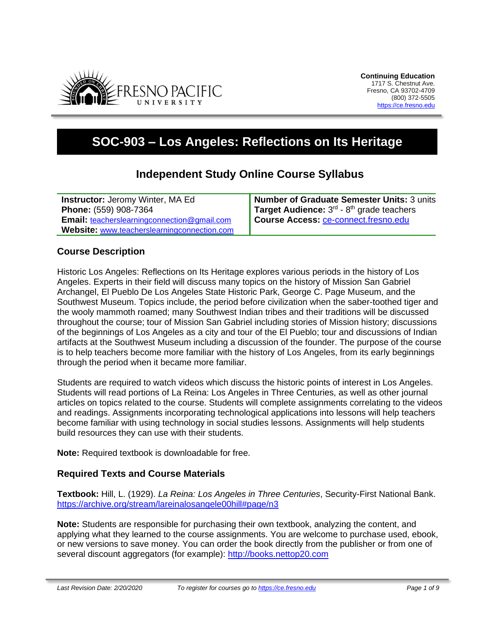

# **SOC-903 – Los Angeles: Reflections on Its Heritage**

# **Independent Study Online Course Syllabus**

**Instructor:** Jeromy Winter, MA Ed **Phone:** (559) 908-7364 **Email:** [teacherslearningconnection@gmail.com](mailto:teacherslearningconnection@gmail.com) **Website:** [www.teacherslearningconnection.com](http://www.teacherslearningconnection.com/) **Number of Graduate Semester Units:** 3 units **Target Audience:** 3<sup>rd</sup> - 8<sup>th</sup> grade teachers **Course Access:** [ce-connect.fresno.edu](https://ce-connect.fresno.edu/)

# **Course Description**

Historic Los Angeles: Reflections on Its Heritage explores various periods in the history of Los Angeles. Experts in their field will discuss many topics on the history of Mission San Gabriel Archangel, El Pueblo De Los Angeles State Historic Park, George C. Page Museum, and the Southwest Museum. Topics include, the period before civilization when the saber-toothed tiger and the wooly mammoth roamed; many Southwest Indian tribes and their traditions will be discussed throughout the course; tour of Mission San Gabriel including stories of Mission history; discussions of the beginnings of Los Angeles as a city and tour of the El Pueblo; tour and discussions of Indian artifacts at the Southwest Museum including a discussion of the founder. The purpose of the course is to help teachers become more familiar with the history of Los Angeles, from its early beginnings through the period when it became more familiar.

Students are required to watch videos which discuss the historic points of interest in Los Angeles. Students will read portions of La Reina: Los Angeles in Three Centuries, as well as other journal articles on topics related to the course. Students will complete assignments correlating to the videos and readings. Assignments incorporating technological applications into lessons will help teachers become familiar with using technology in social studies lessons. Assignments will help students build resources they can use with their students.

**Note:** Required textbook is downloadable for free.

# **Required Texts and Course Materials**

**Textbook:** Hill, L. (1929). *La Reina: Los Angeles in Three Centuries*, Security-First National Bank. <https://archive.org/stream/lareinalosangele00hill#page/n3>

**Note:** Students are responsible for purchasing their own textbook, analyzing the content, and applying what they learned to the course assignments. You are welcome to purchase used, ebook, or new versions to save money. You can order the book directly from the publisher or from one of several discount aggregators (for example): [http://books.nettop20.com](http://books.nettop20.com/)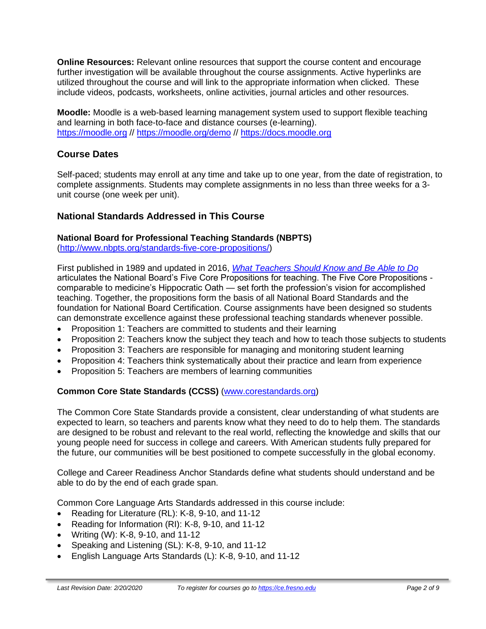**Online Resources:** Relevant online resources that support the course content and encourage further investigation will be available throughout the course assignments. Active hyperlinks are utilized throughout the course and will link to the appropriate information when clicked. These include videos, podcasts, worksheets, online activities, journal articles and other resources.

**Moodle:** Moodle is a web-based learning management system used to support flexible teaching and learning in both face-to-face and distance courses (e-learning). [https://moodle.org](https://moodle.org/) // <https://moodle.org/demo> // [https://docs.moodle.org](https://docs.moodle.org/)

# **Course Dates**

Self-paced; students may enroll at any time and take up to one year, from the date of registration, to complete assignments. Students may complete assignments in no less than three weeks for a 3 unit course (one week per unit).

# **National Standards Addressed in This Course**

#### **National Board for Professional Teaching Standards (NBPTS)**

[\(http://www.nbpts.org/standards-five-core-propositions/\)](http://www.nbpts.org/standards-five-core-propositions/)

First published in 1989 and updated in 2016, *[What Teachers Should Know and Be Able to Do](http://www.accomplishedteacher.org/)* articulates the National Board's Five Core Propositions for teaching. The Five Core Propositions comparable to medicine's Hippocratic Oath — set forth the profession's vision for accomplished teaching. Together, the propositions form the basis of all National Board Standards and the foundation for National Board Certification. Course assignments have been designed so students can demonstrate excellence against these professional teaching standards whenever possible.

- Proposition 1: Teachers are committed to students and their learning
- Proposition 2: Teachers know the subject they teach and how to teach those subjects to students
- Proposition 3: Teachers are responsible for managing and monitoring student learning
- Proposition 4: Teachers think systematically about their practice and learn from experience
- Proposition 5: Teachers are members of learning communities

### **Common Core State Standards (CCSS)** [\(www.corestandards.org\)](http://www.corestandards.org/)

The Common Core State Standards provide a consistent, clear understanding of what students are expected to learn, so teachers and parents know what they need to do to help them. The standards are designed to be robust and relevant to the real world, reflecting the knowledge and skills that our young people need for success in college and careers. With American students fully prepared for the future, our communities will be best positioned to compete successfully in the global economy.

College and Career Readiness Anchor Standards define what students should understand and be able to do by the end of each grade span.

Common Core Language Arts Standards addressed in this course include:

- Reading for Literature (RL): K-8, 9-10, and 11-12
- Reading for Information (RI): K-8, 9-10, and 11-12
- Writing (W): K-8, 9-10, and 11-12
- Speaking and Listening (SL): K-8, 9-10, and 11-12
- English Language Arts Standards (L): K-8, 9-10, and 11-12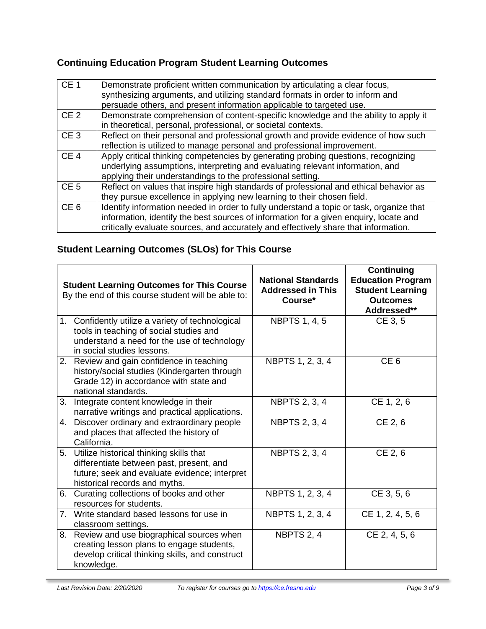# **Continuing Education Program Student Learning Outcomes**

| CE <sub>1</sub> | Demonstrate proficient written communication by articulating a clear focus,<br>synthesizing arguments, and utilizing standard formats in order to inform and<br>persuade others, and present information applicable to targeted use.                                    |
|-----------------|-------------------------------------------------------------------------------------------------------------------------------------------------------------------------------------------------------------------------------------------------------------------------|
| CE <sub>2</sub> | Demonstrate comprehension of content-specific knowledge and the ability to apply it<br>in theoretical, personal, professional, or societal contexts.                                                                                                                    |
| CE <sub>3</sub> | Reflect on their personal and professional growth and provide evidence of how such<br>reflection is utilized to manage personal and professional improvement.                                                                                                           |
| CE <sub>4</sub> | Apply critical thinking competencies by generating probing questions, recognizing<br>underlying assumptions, interpreting and evaluating relevant information, and<br>applying their understandings to the professional setting.                                        |
| CE <sub>5</sub> | Reflect on values that inspire high standards of professional and ethical behavior as<br>they pursue excellence in applying new learning to their chosen field.                                                                                                         |
| CE <sub>6</sub> | Identify information needed in order to fully understand a topic or task, organize that<br>information, identify the best sources of information for a given enquiry, locate and<br>critically evaluate sources, and accurately and effectively share that information. |

# **Student Learning Outcomes (SLOs) for This Course**

|    | <b>Student Learning Outcomes for This Course</b><br>By the end of this course student will be able to:                                                                    | <b>National Standards</b><br><b>Addressed in This</b><br>Course* | Continuing<br><b>Education Program</b><br><b>Student Learning</b><br><b>Outcomes</b><br>Addressed** |  |
|----|---------------------------------------------------------------------------------------------------------------------------------------------------------------------------|------------------------------------------------------------------|-----------------------------------------------------------------------------------------------------|--|
|    | 1. Confidently utilize a variety of technological<br>tools in teaching of social studies and<br>understand a need for the use of technology<br>in social studies lessons. | <b>NBPTS 1, 4, 5</b>                                             | CE 3, 5                                                                                             |  |
|    | 2. Review and gain confidence in teaching<br>history/social studies (Kindergarten through<br>Grade 12) in accordance with state and<br>national standards.                | NBPTS 1, 2, 3, 4                                                 | CE <sub>6</sub>                                                                                     |  |
| 3. | Integrate content knowledge in their<br>narrative writings and practical applications.                                                                                    | <b>NBPTS 2, 3, 4</b>                                             | CE 1, 2, 6                                                                                          |  |
| 4. | Discover ordinary and extraordinary people<br>and places that affected the history of<br>California.                                                                      | <b>NBPTS 2, 3, 4</b>                                             | CE 2, 6                                                                                             |  |
|    | 5. Utilize historical thinking skills that<br>differentiate between past, present, and<br>future; seek and evaluate evidence; interpret<br>historical records and myths.  | <b>NBPTS 2, 3, 4</b>                                             | CE 2, 6                                                                                             |  |
|    | 6. Curating collections of books and other<br>resources for students.                                                                                                     | NBPTS 1, 2, 3, 4                                                 | CE 3, 5, 6                                                                                          |  |
|    | 7. Write standard based lessons for use in<br>classroom settings.                                                                                                         | NBPTS 1, 2, 3, 4                                                 | CE 1, 2, 4, 5, 6                                                                                    |  |
|    | 8. Review and use biographical sources when<br>creating lesson plans to engage students,<br>develop critical thinking skills, and construct<br>knowledge.                 | NBPTS 2, 4                                                       | CE 2, 4, 5, 6                                                                                       |  |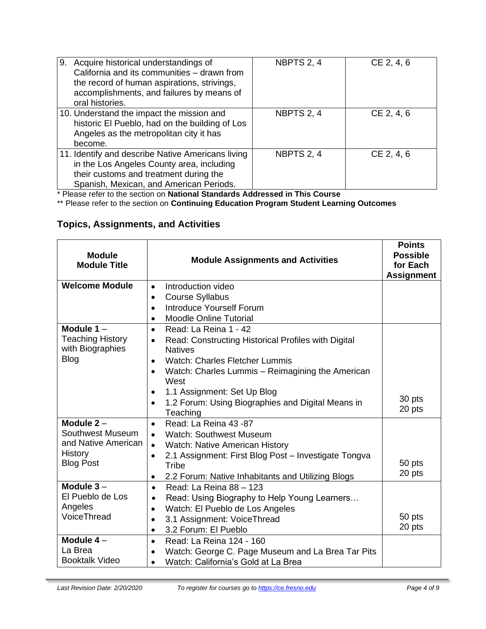| 9. Acquire historical understandings of<br>California and its communities - drawn from<br>the record of human aspirations, strivings,<br>accomplishments, and failures by means of<br>oral histories. | NBPTS 2, 4 | CE 2, 4, 6 |
|-------------------------------------------------------------------------------------------------------------------------------------------------------------------------------------------------------|------------|------------|
| 10. Understand the impact the mission and<br>historic El Pueblo, had on the building of Los<br>Angeles as the metropolitan city it has<br>become.                                                     | NBPTS 2, 4 | CE 2, 4, 6 |
| 11. Identify and describe Native Americans living<br>in the Los Angeles County area, including<br>their customs and treatment during the<br>Spanish, Mexican, and American Periods.                   | NBPTS 2, 4 | CE 2, 4, 6 |

\* Please refer to the section on **National Standards Addressed in This Course**

\*\* Please refer to the section on **Continuing Education Program Student Learning Outcomes**

# **Topics, Assignments, and Activities**

| <b>Module</b><br><b>Module Title</b>                                                          | <b>Module Assignments and Activities</b>                                                                                                                                                                                                                                                                                                                | <b>Points</b><br><b>Possible</b><br>for Each<br><b>Assignment</b> |
|-----------------------------------------------------------------------------------------------|---------------------------------------------------------------------------------------------------------------------------------------------------------------------------------------------------------------------------------------------------------------------------------------------------------------------------------------------------------|-------------------------------------------------------------------|
| <b>Welcome Module</b>                                                                         | Introduction video<br>$\bullet$<br><b>Course Syllabus</b><br>$\bullet$<br>Introduce Yourself Forum<br>$\bullet$<br><b>Moodle Online Tutorial</b><br>٠                                                                                                                                                                                                   |                                                                   |
| Module $1 -$<br><b>Teaching History</b><br>with Biographies<br><b>Blog</b>                    | Read: La Reina 1 - 42<br>$\bullet$<br>Read: Constructing Historical Profiles with Digital<br>$\bullet$<br><b>Natives</b><br><b>Watch: Charles Fletcher Lummis</b><br>$\bullet$<br>Watch: Charles Lummis - Reimagining the American<br>West<br>1.1 Assignment: Set Up Blog<br>1.2 Forum: Using Biographies and Digital Means in<br>$\bullet$<br>Teaching | 30 pts<br>20 pts                                                  |
| Module $2 -$<br>Southwest Museum<br>and Native American<br><b>History</b><br><b>Blog Post</b> | Read: La Reina 43 -87<br>$\bullet$<br><b>Watch: Southwest Museum</b><br>$\bullet$<br><b>Watch: Native American History</b><br>2.1 Assignment: First Blog Post - Investigate Tongva<br>$\bullet$<br>Tribe<br>2.2 Forum: Native Inhabitants and Utilizing Blogs<br>$\bullet$                                                                              | 50 pts<br>20 pts                                                  |
| Module $3-$<br>El Pueblo de Los<br>Angeles<br>VoiceThread                                     | Read: La Reina 88 - 123<br>$\bullet$<br>Read: Using Biography to Help Young Learners<br>$\bullet$<br>Watch: El Pueblo de Los Angeles<br>$\bullet$<br>3.1 Assignment: VoiceThread<br>3.2 Forum: El Pueblo<br>$\bullet$                                                                                                                                   | 50 pts<br>20 pts                                                  |
| Module $4-$<br>La Brea<br><b>Booktalk Video</b>                                               | Read: La Reina 124 - 160<br>$\bullet$<br>Watch: George C. Page Museum and La Brea Tar Pits<br>Watch: California's Gold at La Brea<br>$\bullet$                                                                                                                                                                                                          |                                                                   |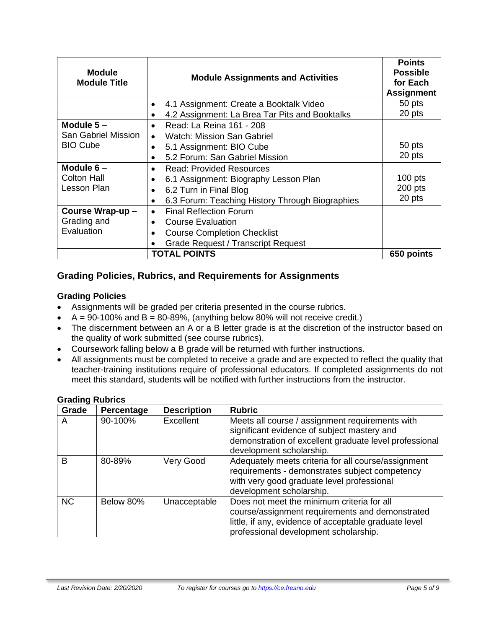| <b>Module</b><br><b>Module Title</b> | <b>Module Assignments and Activities</b>        | <b>Points</b><br><b>Possible</b><br>for Each<br><b>Assignment</b> |
|--------------------------------------|-------------------------------------------------|-------------------------------------------------------------------|
|                                      | 4.1 Assignment: Create a Booktalk Video<br>٠    | 50 pts                                                            |
|                                      | 4.2 Assignment: La Brea Tar Pits and Booktalks  | 20 pts                                                            |
| Module $5-$                          | Read: La Reina 161 - 208<br>$\bullet$           |                                                                   |
| San Gabriel Mission                  | <b>Watch: Mission San Gabriel</b><br>$\bullet$  |                                                                   |
| <b>BIO Cube</b>                      | 5.1 Assignment: BIO Cube                        | 50 pts                                                            |
|                                      | 5.2 Forum: San Gabriel Mission                  | 20 pts                                                            |
| Module $6-$                          | <b>Read: Provided Resources</b><br>$\bullet$    |                                                                   |
| <b>Colton Hall</b>                   | 6.1 Assignment: Biography Lesson Plan           | $100$ pts                                                         |
| Lesson Plan                          | 6.2 Turn in Final Blog                          | 200 pts                                                           |
|                                      | 6.3 Forum: Teaching History Through Biographies | 20 pts                                                            |
| Course Wrap-up -                     | <b>Final Reflection Forum</b><br>٠              |                                                                   |
| Grading and                          | <b>Course Evaluation</b>                        |                                                                   |
| Evaluation                           | <b>Course Completion Checklist</b>              |                                                                   |
|                                      | <b>Grade Request / Transcript Request</b>       |                                                                   |
| <b>TOTAL POINTS</b><br>650 points    |                                                 |                                                                   |

# **Grading Policies, Rubrics, and Requirements for Assignments**

#### **Grading Policies**

- Assignments will be graded per criteria presented in the course rubrics.
- $A = 90-100\%$  and  $B = 80-89\%$ , (anything below 80% will not receive credit.)
- The discernment between an A or a B letter grade is at the discretion of the instructor based on the quality of work submitted (see course rubrics).
- Coursework falling below a B grade will be returned with further instructions.
- All assignments must be completed to receive a grade and are expected to reflect the quality that teacher-training institutions require of professional educators. If completed assignments do not meet this standard, students will be notified with further instructions from the instructor.

| .<br>Grade | Percentage | <b>Description</b> | <b>Rubric</b>                                                                                                                                                                                   |
|------------|------------|--------------------|-------------------------------------------------------------------------------------------------------------------------------------------------------------------------------------------------|
| A          | 90-100%    | <b>Excellent</b>   | Meets all course / assignment requirements with<br>significant evidence of subject mastery and                                                                                                  |
|            |            |                    | demonstration of excellent graduate level professional<br>development scholarship.                                                                                                              |
| B          | 80-89%     | Very Good          | Adequately meets criteria for all course/assignment<br>requirements - demonstrates subject competency<br>with very good graduate level professional<br>development scholarship.                 |
| <b>NC</b>  | Below 80%  | Unacceptable       | Does not meet the minimum criteria for all<br>course/assignment requirements and demonstrated<br>little, if any, evidence of acceptable graduate level<br>professional development scholarship. |

#### **Grading Rubrics**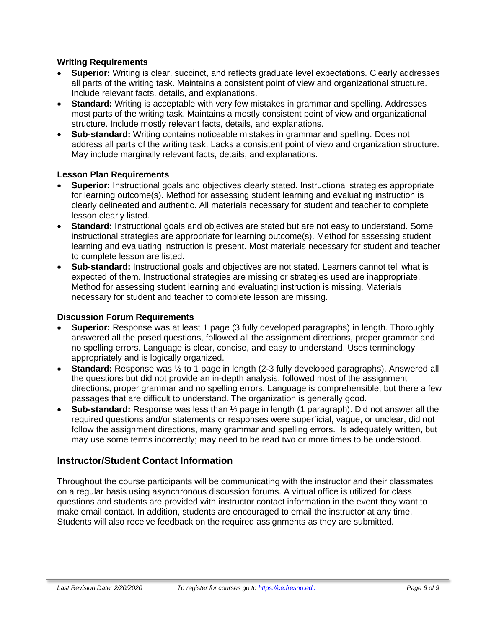#### **Writing Requirements**

- **Superior:** Writing is clear, succinct, and reflects graduate level expectations. Clearly addresses all parts of the writing task. Maintains a consistent point of view and organizational structure. Include relevant facts, details, and explanations.
- **Standard:** Writing is acceptable with very few mistakes in grammar and spelling. Addresses most parts of the writing task. Maintains a mostly consistent point of view and organizational structure. Include mostly relevant facts, details, and explanations.
- **Sub-standard:** Writing contains noticeable mistakes in grammar and spelling. Does not address all parts of the writing task. Lacks a consistent point of view and organization structure. May include marginally relevant facts, details, and explanations.

#### **Lesson Plan Requirements**

- **Superior:** Instructional goals and objectives clearly stated. Instructional strategies appropriate for learning outcome(s). Method for assessing student learning and evaluating instruction is clearly delineated and authentic. All materials necessary for student and teacher to complete lesson clearly listed.
- **Standard:** Instructional goals and objectives are stated but are not easy to understand. Some instructional strategies are appropriate for learning outcome(s). Method for assessing student learning and evaluating instruction is present. Most materials necessary for student and teacher to complete lesson are listed.
- **Sub-standard:** Instructional goals and objectives are not stated. Learners cannot tell what is expected of them. Instructional strategies are missing or strategies used are inappropriate. Method for assessing student learning and evaluating instruction is missing. Materials necessary for student and teacher to complete lesson are missing.

#### **Discussion Forum Requirements**

- **Superior:** Response was at least 1 page (3 fully developed paragraphs) in length. Thoroughly answered all the posed questions, followed all the assignment directions, proper grammar and no spelling errors. Language is clear, concise, and easy to understand. Uses terminology appropriately and is logically organized.
- **Standard:** Response was ½ to 1 page in length (2-3 fully developed paragraphs). Answered all the questions but did not provide an in-depth analysis, followed most of the assignment directions, proper grammar and no spelling errors. Language is comprehensible, but there a few passages that are difficult to understand. The organization is generally good.
- **Sub-standard:** Response was less than ½ page in length (1 paragraph). Did not answer all the required questions and/or statements or responses were superficial, vague, or unclear, did not follow the assignment directions, many grammar and spelling errors. Is adequately written, but may use some terms incorrectly; may need to be read two or more times to be understood.

### **Instructor/Student Contact Information**

Throughout the course participants will be communicating with the instructor and their classmates on a regular basis using asynchronous discussion forums. A virtual office is utilized for class questions and students are provided with instructor contact information in the event they want to make email contact. In addition, students are encouraged to email the instructor at any time. Students will also receive feedback on the required assignments as they are submitted.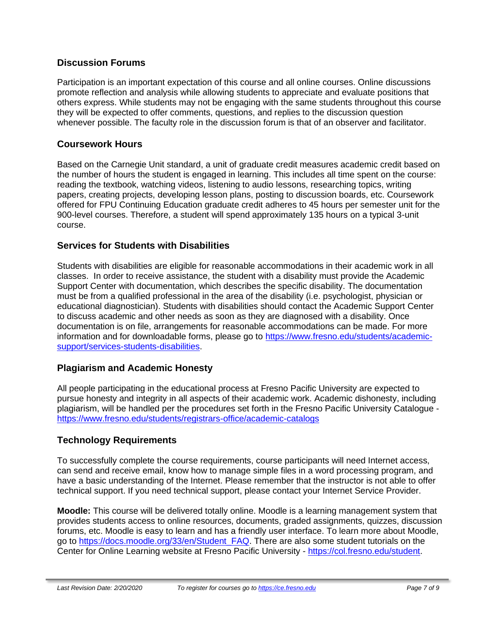### **Discussion Forums**

Participation is an important expectation of this course and all online courses. Online discussions promote reflection and analysis while allowing students to appreciate and evaluate positions that others express. While students may not be engaging with the same students throughout this course they will be expected to offer comments, questions, and replies to the discussion question whenever possible. The faculty role in the discussion forum is that of an observer and facilitator.

### **Coursework Hours**

Based on the Carnegie Unit standard, a unit of graduate credit measures academic credit based on the number of hours the student is engaged in learning. This includes all time spent on the course: reading the textbook, watching videos, listening to audio lessons, researching topics, writing papers, creating projects, developing lesson plans, posting to discussion boards, etc. Coursework offered for FPU Continuing Education graduate credit adheres to 45 hours per semester unit for the 900-level courses. Therefore, a student will spend approximately 135 hours on a typical 3-unit course.

# **Services for Students with Disabilities**

Students with disabilities are eligible for reasonable accommodations in their academic work in all classes. In order to receive assistance, the student with a disability must provide the Academic Support Center with documentation, which describes the specific disability. The documentation must be from a qualified professional in the area of the disability (i.e. psychologist, physician or educational diagnostician). Students with disabilities should contact the Academic Support Center to discuss academic and other needs as soon as they are diagnosed with a disability. Once documentation is on file, arrangements for reasonable accommodations can be made. For more information and for downloadable forms, please go to [https://www.fresno.edu/students/academic](https://www.fresno.edu/students/academic-support/services-students-disabilities)[support/services-students-disabilities.](https://www.fresno.edu/students/academic-support/services-students-disabilities)

### **Plagiarism and Academic Honesty**

All people participating in the educational process at Fresno Pacific University are expected to pursue honesty and integrity in all aspects of their academic work. Academic dishonesty, including plagiarism, will be handled per the procedures set forth in the Fresno Pacific University Catalogue <https://www.fresno.edu/students/registrars-office/academic-catalogs>

# **Technology Requirements**

To successfully complete the course requirements, course participants will need Internet access, can send and receive email, know how to manage simple files in a word processing program, and have a basic understanding of the Internet. Please remember that the instructor is not able to offer technical support. If you need technical support, please contact your Internet Service Provider.

**Moodle:** This course will be delivered totally online. Moodle is a learning management system that provides students access to online resources, documents, graded assignments, quizzes, discussion forums, etc. Moodle is easy to learn and has a friendly user interface. To learn more about Moodle, go to [https://docs.moodle.org/33/en/Student\\_FAQ.](https://docs.moodle.org/33/en/Student_FAQ) There are also some student tutorials on the Center for Online Learning website at Fresno Pacific University - [https://col.fresno.edu/student.](https://col.fresno.edu/student)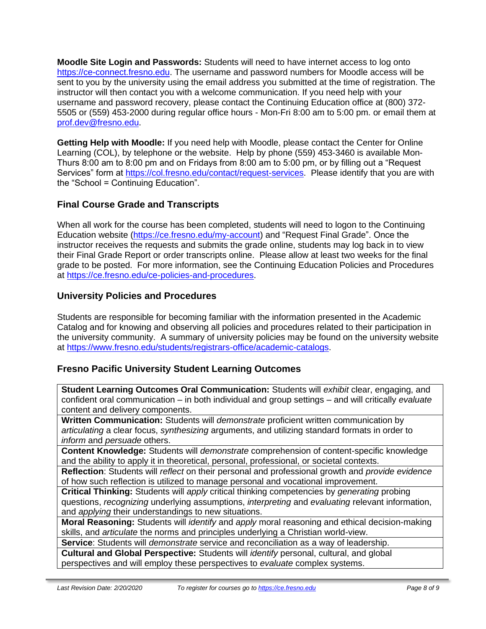**Moodle Site Login and Passwords:** Students will need to have internet access to log onto [https://ce-connect.fresno.edu.](https://ce-connect.fresno.edu/) The username and password numbers for Moodle access will be sent to you by the university using the email address you submitted at the time of registration. The instructor will then contact you with a welcome communication. If you need help with your username and password recovery, please contact the Continuing Education office at (800) 372- 5505 or (559) 453-2000 during regular office hours - Mon-Fri 8:00 am to 5:00 pm. or email them at [prof.dev@fresno.edu.](mailto:prof.dev@fresno.edu)

**Getting Help with Moodle:** If you need help with Moodle, please contact the Center for Online Learning (COL), by telephone or the website. Help by phone (559) 453-3460 is available Mon-Thurs 8:00 am to 8:00 pm and on Fridays from 8:00 am to 5:00 pm, or by filling out a "Request Services" form at [https://col.fresno.edu/contact/request-services.](https://col.fresno.edu/contact/request-services) Please identify that you are with the "School = Continuing Education".

# **Final Course Grade and Transcripts**

When all work for the course has been completed, students will need to logon to the Continuing Education website [\(https://ce.fresno.edu/my-account\)](https://ce.fresno.edu/my-account) and "Request Final Grade". Once the instructor receives the requests and submits the grade online, students may log back in to view their Final Grade Report or order transcripts online. Please allow at least two weeks for the final grade to be posted. For more information, see the Continuing Education Policies and Procedures at [https://ce.fresno.edu/ce-policies-and-procedures.](https://ce.fresno.edu/ce-policies-and-procedures)

# **University Policies and Procedures**

Students are responsible for becoming familiar with the information presented in the Academic Catalog and for knowing and observing all policies and procedures related to their participation in the university community. A summary of university policies may be found on the university website at [https://www.fresno.edu/students/registrars-office/academic-catalogs.](https://www.fresno.edu/students/registrars-office/academic-catalogs)

# **Fresno Pacific University Student Learning Outcomes**

**Student Learning Outcomes Oral Communication:** Students will *exhibit* clear, engaging, and confident oral communication – in both individual and group settings – and will critically *evaluate*  content and delivery components.

**Written Communication:** Students will *demonstrate* proficient written communication by *articulating* a clear focus, *synthesizing* arguments, and utilizing standard formats in order to *inform* and *persuade* others.

**Content Knowledge:** Students will *demonstrate* comprehension of content-specific knowledge and the ability to apply it in theoretical, personal, professional, or societal contexts.

**Reflection**: Students will *reflect* on their personal and professional growth and *provide evidence*  of how such reflection is utilized to manage personal and vocational improvement.

**Critical Thinking:** Students will *apply* critical thinking competencies by *generating* probing questions, *recognizing* underlying assumptions, *interpreting* and *evaluating* relevant information, and *applying* their understandings to new situations.

**Moral Reasoning:** Students will *identify* and *apply* moral reasoning and ethical decision-making skills, and *articulate* the norms and principles underlying a Christian world-view.

**Service**: Students will *demonstrate* service and reconciliation as a way of leadership.

**Cultural and Global Perspective:** Students will *identify* personal, cultural, and global perspectives and will employ these perspectives to *evaluate* complex systems.